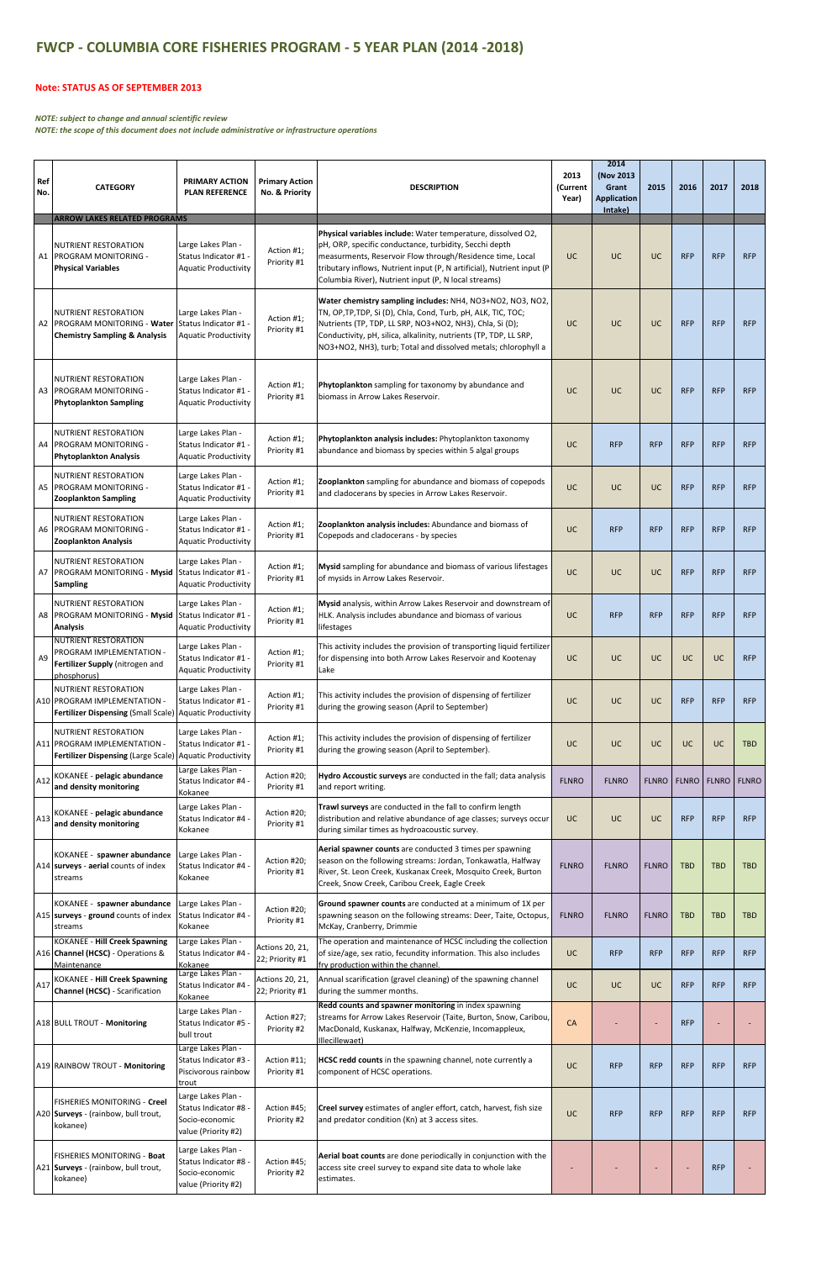| Ref<br>No. | <b>CATEGORY</b>                                                                                           | <b>PRIMARY ACTION</b><br><b>PLAN REFERENCE</b>                                       | <b>Primary Action</b><br>No. & Priority | <b>DESCRIPTION</b>                                                                                                                                                                                                                                                                                                             | 2013<br>(Current<br>Year) | 2014<br>(Nov 2013<br>Grant<br><b>Application</b><br>Intake) | 2015           | 2016          | 2017       | 2018         |
|------------|-----------------------------------------------------------------------------------------------------------|--------------------------------------------------------------------------------------|-----------------------------------------|--------------------------------------------------------------------------------------------------------------------------------------------------------------------------------------------------------------------------------------------------------------------------------------------------------------------------------|---------------------------|-------------------------------------------------------------|----------------|---------------|------------|--------------|
|            | <b>ARROW LAKES RELATED PROGRAMS</b>                                                                       |                                                                                      |                                         |                                                                                                                                                                                                                                                                                                                                |                           |                                                             |                |               |            |              |
|            | <b>NUTRIENT RESTORATION</b><br>A1 PROGRAM MONITORING -<br><b>Physical Variables</b>                       | Large Lakes Plan -<br>Status Indicator #1<br><b>Aquatic Productivity</b>             | Action #1;<br>Priority #1               | Physical variables include: Water temperature, dissolved O2,<br>pH, ORP, specific conductance, turbidity, Secchi depth<br>measurments, Reservoir Flow through/Residence time, Local<br>tributary inflows, Nutrient input (P, N artificial), Nutrient input (P<br>Columbia River), Nutrient input (P, N local streams)          | UC.                       | <b>UC</b>                                                   | UC             | <b>RFP</b>    | <b>RFP</b> | <b>RFP</b>   |
|            | <b>NUTRIENT RESTORATION</b><br>A2 PROGRAM MONITORING - Water<br><b>Chemistry Sampling &amp; Analysis</b>  | Large Lakes Plan -<br>Status Indicator #1<br><b>Aquatic Productivity</b>             | Action #1;<br>Priority #1               | Water chemistry sampling includes: NH4, NO3+NO2, NO3, NO2,<br>TN, OP, TP, TDP, Si (D), Chla, Cond, Turb, pH, ALK, TIC, TOC;<br>Nutrients (TP, TDP, LL SRP, NO3+NO2, NH3), Chla, Si (D);<br>Conductivity, pH, silica, alkalinity, nutrients (TP, TDP, LL SRP,<br>NO3+NO2, NH3), turb; Total and dissolved metals; chlorophyll a | UC                        | <b>UC</b>                                                   | UC             | <b>RFP</b>    | <b>RFP</b> | <b>RFP</b>   |
|            | <b>NUTRIENT RESTORATION</b><br>A3 PROGRAM MONITORING -<br><b>Phytoplankton Sampling</b>                   | Large Lakes Plan -<br>Status Indicator #1 -<br><b>Aquatic Productivity</b>           | Action #1;<br>Priority #1               | Phytoplankton sampling for taxonomy by abundance and<br>biomass in Arrow Lakes Reservoir.                                                                                                                                                                                                                                      | <b>UC</b>                 | <b>UC</b>                                                   | UC             | <b>RFP</b>    | <b>RFP</b> | <b>RFP</b>   |
|            | <b>NUTRIENT RESTORATION</b><br>A4 PROGRAM MONITORING -<br><b>Phytoplankton Analysis</b>                   | Large Lakes Plan -<br>Status Indicator #1 -<br><b>Aquatic Productivity</b>           | Action #1;<br>Priority #1               | Phytoplankton analysis includes: Phytoplankton taxonomy<br>abundance and biomass by species within 5 algal groups                                                                                                                                                                                                              | UC                        | <b>RFP</b>                                                  | <b>RFP</b>     | <b>RFP</b>    | <b>RFP</b> | <b>RFP</b>   |
|            | <b>NUTRIENT RESTORATION</b><br>A5 PROGRAM MONITORING -<br><b>Zooplankton Sampling</b>                     | Large Lakes Plan -<br>- Status Indicator #1<br><b>Aquatic Productivity</b>           | Action #1;<br>Priority #1               | Zooplankton sampling for abundance and biomass of copepods<br>and cladocerans by species in Arrow Lakes Reservoir.                                                                                                                                                                                                             | UC                        | <b>UC</b>                                                   | UC             | <b>RFP</b>    | <b>RFP</b> | <b>RFP</b>   |
|            | NUTRIENT RESTORATION<br>A6 PROGRAM MONITORING -<br><b>Zooplankton Analysis</b>                            | Large Lakes Plan -<br>Status Indicator #1 -<br><b>Aquatic Productivity</b>           | Action #1;<br>Priority #1               | Zooplankton analysis includes: Abundance and biomass of<br>Copepods and cladocerans - by species                                                                                                                                                                                                                               | <b>UC</b>                 | <b>RFP</b>                                                  | <b>RFP</b>     | <b>RFP</b>    | <b>RFP</b> | <b>RFP</b>   |
|            | <b>NUTRIENT RESTORATION</b><br>A7 PROGRAM MONITORING - Mysid<br><b>Sampling</b>                           | Large Lakes Plan -<br>Status Indicator #1 -<br><b>Aquatic Productivity</b>           | Action #1;<br>Priority #1               | Mysid sampling for abundance and biomass of various lifestages<br>of mysids in Arrow Lakes Reservoir.                                                                                                                                                                                                                          | <b>UC</b>                 | <b>UC</b>                                                   | UC             | <b>RFP</b>    | <b>RFP</b> | <b>RFP</b>   |
|            | <b>NUTRIENT RESTORATION</b><br>A8 PROGRAM MONITORING - Mysid Status Indicator #1 -<br><b>Analysis</b>     | Large Lakes Plan -<br><b>Aquatic Productivity</b>                                    | Action #1;<br>Priority #1               | Mysid analysis, within Arrow Lakes Reservoir and downstream of<br>HLK. Analysis includes abundance and biomass of various<br>lifestages                                                                                                                                                                                        | <b>UC</b>                 | <b>RFP</b>                                                  | <b>RFP</b>     | <b>RFP</b>    | <b>RFP</b> | <b>RFP</b>   |
| A9         | <b>NUTRIENT RESTORATION</b><br>PROGRAM IMPLEMENTATION -<br>Fertilizer Supply (nitrogen and<br>phosphorus) | Large Lakes Plan -<br>Status Indicator #1 -<br><b>Aquatic Productivity</b>           | Action #1;<br>Priority #1               | This activity includes the provision of transporting liquid fertilizer<br>for dispensing into both Arrow Lakes Reservoir and Kootenay<br>Lake                                                                                                                                                                                  | UC                        | <b>UC</b>                                                   | UC             | <b>UC</b>     | UC         | <b>RFP</b>   |
|            | <b>NUTRIENT RESTORATION</b><br>A10 PROGRAM IMPLEMENTATION -<br><b>Fertilizer Dispensing (Small Scale)</b> | Large Lakes Plan -<br>Status Indicator #1 -<br><b>Aquatic Productivity</b>           | Action #1;<br>Priority #1               | This activity includes the provision of dispensing of fertilizer<br>during the growing season (April to September)                                                                                                                                                                                                             | UC                        | <b>UC</b>                                                   | UC             | <b>RFP</b>    | <b>RFP</b> | <b>RFP</b>   |
|            | <b>NUTRIENT RESTORATION</b><br>A11 PROGRAM IMPLEMENTATION -<br><b>Fertilizer Dispensing (Large Scale)</b> | Large Lakes Plan -<br>Status Indicator #1<br><b>Aquatic Productivity</b>             | Action #1;<br>Priority #1               | This activity includes the provision of dispensing of fertilizer<br>during the growing season (April to September).                                                                                                                                                                                                            | UC                        | <b>UC</b>                                                   | <b>UC</b>      | <b>UC</b>     | UC         | <b>TBD</b>   |
| A12        | KOKANEE - pelagic abundance<br>and density monitoring                                                     | Large Lakes Plan -<br>Status Indicator #4<br>Kokanee                                 | Action #20;<br>Priority #1              | Hydro Accoustic surveys are conducted in the fall; data analysis<br>and report writing.                                                                                                                                                                                                                                        | <b>FLNRO</b>              | <b>FLNRO</b>                                                | <b>FLNRO</b>   | FLNRO   FLNRO |            | <b>FLNRO</b> |
| A13        | KOKANEE - pelagic abundance<br>and density monitoring                                                     | Large Lakes Plan -<br>Status Indicator #4<br>Kokanee                                 | Action #20;<br>Priority #1              | Trawl surveys are conducted in the fall to confirm length<br>distribution and relative abundance of age classes; surveys occur<br>during similar times as hydroacoustic survey.                                                                                                                                                | UC                        | <b>UC</b>                                                   | UC             | <b>RFP</b>    | <b>RFP</b> | <b>RFP</b>   |
|            | KOKANEE - spawner abundance<br>A14 surveys - aerial counts of index<br>streams                            | Large Lakes Plan -<br>Status Indicator #4<br>Kokanee                                 | Action #20;<br>Priority #1              | Aerial spawner counts are conducted 3 times per spawning<br>season on the following streams: Jordan, Tonkawatla, Halfway<br>River, St. Leon Creek, Kuskanax Creek, Mosquito Creek, Burton<br>Creek, Snow Creek, Caribou Creek, Eagle Creek                                                                                     | <b>FLNRO</b>              | <b>FLNRO</b>                                                | <b>FLNRO</b>   | <b>TBD</b>    | <b>TBD</b> | <b>TBD</b>   |
|            | KOKANEE - spawner abundance<br>A15 surveys - ground counts of index<br>streams                            | Large Lakes Plan -<br>Status Indicator #4<br>Kokanee                                 | Action #20;<br>Priority #1              | Ground spawner counts are conducted at a minimum of 1X per<br>spawning season on the following streams: Deer, Taite, Octopus,<br>McKay, Cranberry, Drimmie                                                                                                                                                                     | <b>FLNRO</b>              | <b>FLNRO</b>                                                | <b>FLNRO</b>   | <b>TBD</b>    | <b>TBD</b> | <b>TBD</b>   |
|            | <b>KOKANEE - Hill Creek Spawning</b><br>A16 Channel (HCSC) - Operations &<br>Maintenance                  | Large Lakes Plan -<br>Status Indicator #4<br>Kokanee                                 | Actions 20, 21,<br>22; Priority #1      | The operation and maintenance of HCSC including the collection<br>of size/age, sex ratio, fecundity information. This also includes<br>fry production within the channel.                                                                                                                                                      | UC                        | <b>RFP</b>                                                  | <b>RFP</b>     | <b>RFP</b>    | <b>RFP</b> | <b>RFP</b>   |
| A17        | <b>KOKANEE - Hill Creek Spawning</b><br><b>Channel (HCSC)</b> - Scarification                             | Large Lakes Plan -<br>Status Indicator #4<br>Kokanee                                 | Actions 20, 21,<br>22; Priority #1      | Annual scarification (gravel cleaning) of the spawning channel<br>during the summer months.<br>Redd counts and spawner monitoring in index spawning                                                                                                                                                                            | UC                        | <b>UC</b>                                                   | UC             | <b>RFP</b>    | <b>RFP</b> | <b>RFP</b>   |
|            | A18 BULL TROUT - Monitoring                                                                               | Large Lakes Plan -<br>Status Indicator #5<br>bull trout                              | Action #27;<br>Priority #2              | streams for Arrow Lakes Reservoir (Taite, Burton, Snow, Caribou,<br>MacDonald, Kuskanax, Halfway, McKenzie, Incomappleux,<br>Illecillewaet)                                                                                                                                                                                    | <b>CA</b>                 |                                                             |                | <b>RFP</b>    |            |              |
|            | A19 RAINBOW TROUT - Monitoring                                                                            | Large Lakes Plan -<br>Status Indicator #3<br>Piscivorous rainbow<br>trout            | Action #11;<br>Priority #1              | <b>HCSC redd counts</b> in the spawning channel, note currently a<br>component of HCSC operations.                                                                                                                                                                                                                             | UC                        | <b>RFP</b>                                                  | <b>RFP</b>     | <b>RFP</b>    | <b>RFP</b> | <b>RFP</b>   |
|            | FISHERIES MONITORING - Creel<br>A20 Surveys - (rainbow, bull trout,<br>kokanee)                           | Large Lakes Plan -<br>Status Indicator #8 -<br>Socio-economic<br>value (Priority #2) | Action #45;<br>Priority #2              | Creel survey estimates of angler effort, catch, harvest, fish size<br>and predator condition (Kn) at 3 access sites.                                                                                                                                                                                                           | UC                        | <b>RFP</b>                                                  | <b>RFP</b>     | <b>RFP</b>    | <b>RFP</b> | <b>RFP</b>   |
|            | <b>FISHERIES MONITORING - Boat</b><br>A21 Surveys - (rainbow, bull trout,<br>kokanee)                     | Large Lakes Plan -<br>Status Indicator #8 -<br>Socio-economic<br>value (Priority #2) | Action #45;<br>Priority #2              | Aerial boat counts are done periodically in conjunction with the<br>access site creel survey to expand site data to whole lake<br>estimates.                                                                                                                                                                                   |                           |                                                             | $\overline{a}$ |               | <b>RFP</b> |              |

## **FWCP ‐ COLUMBIA CORE FISHERIES PROGRAM ‐ 5 YEAR PLAN (2014 ‐2018)**

## **Note: STATUS AS OF SEPTEMBER 2013**

## *NOTE: subject to change and annual scientific review*

*NOTE: the scope of this document does not include administrative or infrastructure operations*